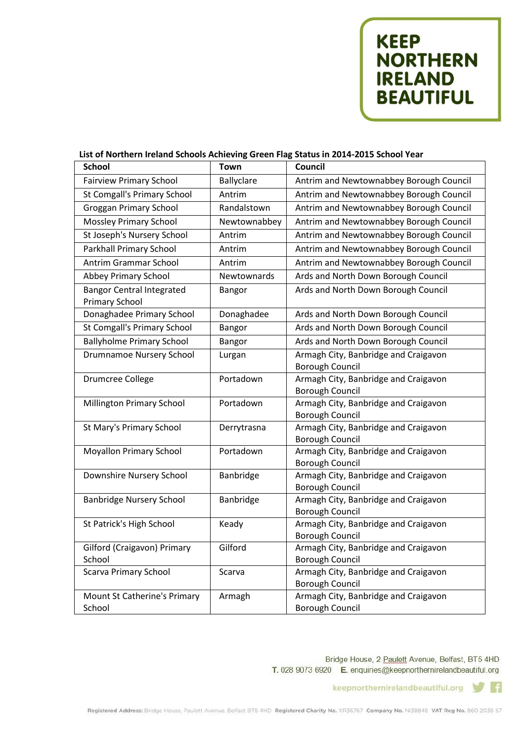**KEEP<br>NORTHERN<br>IRELAND<br>BEAUTIFUL** 

## List of Northern Ireland Schools Achieving Green Flag Status in 2014-2015 School Year

| <b>School</b>                                             | <b>Town</b>       | Council                                                        |
|-----------------------------------------------------------|-------------------|----------------------------------------------------------------|
| <b>Fairview Primary School</b>                            | <b>Ballyclare</b> | Antrim and Newtownabbey Borough Council                        |
| <b>St Comgall's Primary School</b>                        | Antrim            | Antrim and Newtownabbey Borough Council                        |
| <b>Groggan Primary School</b>                             | Randalstown       | Antrim and Newtownabbey Borough Council                        |
| <b>Mossley Primary School</b>                             | Newtownabbey      | Antrim and Newtownabbey Borough Council                        |
| St Joseph's Nursery School                                | Antrim            | Antrim and Newtownabbey Borough Council                        |
| Parkhall Primary School                                   | Antrim            | Antrim and Newtownabbey Borough Council                        |
| Antrim Grammar School                                     | Antrim            | Antrim and Newtownabbey Borough Council                        |
| Abbey Primary School                                      | Newtownards       | Ards and North Down Borough Council                            |
| <b>Bangor Central Integrated</b><br><b>Primary School</b> | Bangor            | Ards and North Down Borough Council                            |
| Donaghadee Primary School                                 | Donaghadee        | Ards and North Down Borough Council                            |
| St Comgall's Primary School                               | Bangor            | Ards and North Down Borough Council                            |
| <b>Ballyholme Primary School</b>                          | Bangor            | Ards and North Down Borough Council                            |
| <b>Drumnamoe Nursery School</b>                           | Lurgan            | Armagh City, Banbridge and Craigavon                           |
|                                                           |                   | <b>Borough Council</b>                                         |
| <b>Drumcree College</b>                                   | Portadown         | Armagh City, Banbridge and Craigavon                           |
|                                                           |                   | <b>Borough Council</b>                                         |
| Millington Primary School                                 | Portadown         | Armagh City, Banbridge and Craigavon<br><b>Borough Council</b> |
| St Mary's Primary School                                  | Derrytrasna       | Armagh City, Banbridge and Craigavon                           |
|                                                           |                   | <b>Borough Council</b>                                         |
| <b>Moyallon Primary School</b>                            | Portadown         | Armagh City, Banbridge and Craigavon                           |
|                                                           |                   | <b>Borough Council</b>                                         |
| Downshire Nursery School                                  | Banbridge         | Armagh City, Banbridge and Craigavon                           |
|                                                           |                   | <b>Borough Council</b>                                         |
| <b>Banbridge Nursery School</b>                           | Banbridge         | Armagh City, Banbridge and Craigavon                           |
|                                                           |                   | <b>Borough Council</b>                                         |
| St Patrick's High School                                  | Keady             | Armagh City, Banbridge and Craigavon                           |
| Gilford (Craigavon) Primary                               | Gilford           | <b>Borough Council</b><br>Armagh City, Banbridge and Craigavon |
| School                                                    |                   | <b>Borough Council</b>                                         |
| <b>Scarva Primary School</b>                              | Scarva            | Armagh City, Banbridge and Craigavon                           |
|                                                           |                   | <b>Borough Council</b>                                         |
| Mount St Catherine's Primary                              | Armagh            | Armagh City, Banbridge and Craigavon                           |
| School                                                    |                   | <b>Borough Council</b>                                         |

Bridge House, 2 Paulett Avenue, Belfast, BT5 4HD T. 028 9073 6920 E. enquiries@keepnorthernirelandbeautiful.org

> keepnorthernirelandbeautiful.org  $\vert f \vert$ w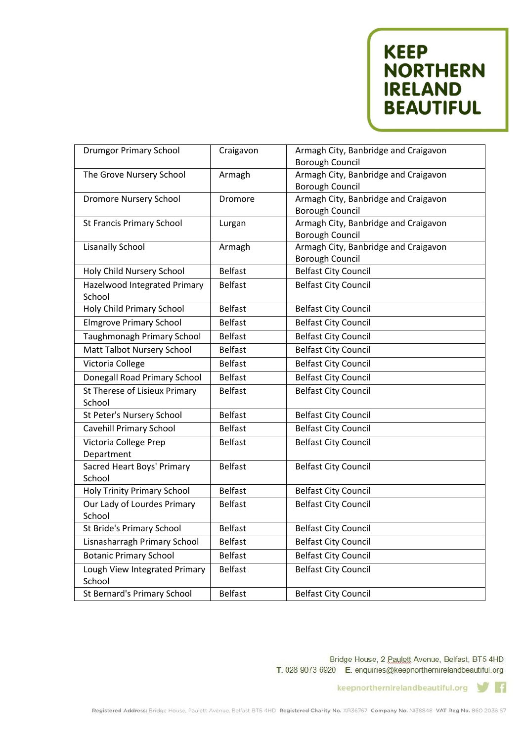**KEEP NORTHERN IRELAND BEAUTIFUL** 

| <b>Drumgor Primary School</b>           | Craigavon      | Armagh City, Banbridge and Craigavon<br>Borough Council        |
|-----------------------------------------|----------------|----------------------------------------------------------------|
| The Grove Nursery School                | Armagh         | Armagh City, Banbridge and Craigavon<br><b>Borough Council</b> |
| <b>Dromore Nursery School</b>           | Dromore        | Armagh City, Banbridge and Craigavon<br><b>Borough Council</b> |
| <b>St Francis Primary School</b>        | Lurgan         | Armagh City, Banbridge and Craigavon<br><b>Borough Council</b> |
| <b>Lisanally School</b>                 | Armagh         | Armagh City, Banbridge and Craigavon<br><b>Borough Council</b> |
| Holy Child Nursery School               | <b>Belfast</b> | <b>Belfast City Council</b>                                    |
| Hazelwood Integrated Primary<br>School  | <b>Belfast</b> | <b>Belfast City Council</b>                                    |
| Holy Child Primary School               | <b>Belfast</b> | <b>Belfast City Council</b>                                    |
| <b>Elmgrove Primary School</b>          | <b>Belfast</b> | <b>Belfast City Council</b>                                    |
| Taughmonagh Primary School              | <b>Belfast</b> | <b>Belfast City Council</b>                                    |
| Matt Talbot Nursery School              | <b>Belfast</b> | <b>Belfast City Council</b>                                    |
| Victoria College                        | <b>Belfast</b> | <b>Belfast City Council</b>                                    |
| Donegall Road Primary School            | <b>Belfast</b> | <b>Belfast City Council</b>                                    |
| St Therese of Lisieux Primary<br>School | <b>Belfast</b> | <b>Belfast City Council</b>                                    |
| St Peter's Nursery School               | <b>Belfast</b> | <b>Belfast City Council</b>                                    |
| Cavehill Primary School                 | <b>Belfast</b> | <b>Belfast City Council</b>                                    |
| Victoria College Prep<br>Department     | <b>Belfast</b> | <b>Belfast City Council</b>                                    |
| Sacred Heart Boys' Primary<br>School    | <b>Belfast</b> | <b>Belfast City Council</b>                                    |
| <b>Holy Trinity Primary School</b>      | <b>Belfast</b> | <b>Belfast City Council</b>                                    |
| Our Lady of Lourdes Primary<br>School   | <b>Belfast</b> | <b>Belfast City Council</b>                                    |
| St Bride's Primary School               | <b>Belfast</b> | <b>Belfast City Council</b>                                    |
| Lisnasharragh Primary School            | <b>Belfast</b> | <b>Belfast City Council</b>                                    |
| <b>Botanic Primary School</b>           | <b>Belfast</b> | <b>Belfast City Council</b>                                    |
| Lough View Integrated Primary<br>School | <b>Belfast</b> | <b>Belfast City Council</b>                                    |
| St Bernard's Primary School             | <b>Belfast</b> | <b>Belfast City Council</b>                                    |

Bridge House, 2 Paulett Avenue, Belfast, BT5 4HD T. 028 9073 6920 E. enquiries@keepnorthernirelandbeautiful.org

> keepnorthernirelandbeautiful.org  $\mathbf{f}$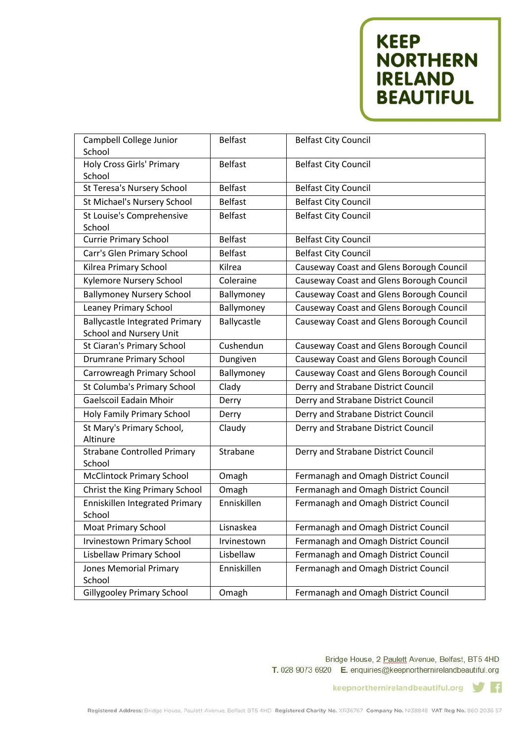**KEEP NORTHERN**<br>IRELAND **BEAUTIFUL** 

| Campbell College Junior<br>School                                       | <b>Belfast</b> | <b>Belfast City Council</b>              |
|-------------------------------------------------------------------------|----------------|------------------------------------------|
| Holy Cross Girls' Primary<br>School                                     | <b>Belfast</b> | <b>Belfast City Council</b>              |
| St Teresa's Nursery School                                              | <b>Belfast</b> | <b>Belfast City Council</b>              |
| St Michael's Nursery School                                             | <b>Belfast</b> | <b>Belfast City Council</b>              |
| St Louise's Comprehensive<br>School                                     | <b>Belfast</b> | <b>Belfast City Council</b>              |
| <b>Currie Primary School</b>                                            | <b>Belfast</b> | <b>Belfast City Council</b>              |
| Carr's Glen Primary School                                              | <b>Belfast</b> | <b>Belfast City Council</b>              |
| Kilrea Primary School                                                   | Kilrea         | Causeway Coast and Glens Borough Council |
| Kylemore Nursery School                                                 | Coleraine      | Causeway Coast and Glens Borough Council |
| <b>Ballymoney Nursery School</b>                                        | Ballymoney     | Causeway Coast and Glens Borough Council |
| <b>Leaney Primary School</b>                                            | Ballymoney     | Causeway Coast and Glens Borough Council |
| <b>Ballycastle Integrated Primary</b><br><b>School and Nursery Unit</b> | Ballycastle    | Causeway Coast and Glens Borough Council |
| St Ciaran's Primary School                                              | Cushendun      | Causeway Coast and Glens Borough Council |
| <b>Drumrane Primary School</b>                                          | Dungiven       | Causeway Coast and Glens Borough Council |
| Carrowreagh Primary School                                              | Ballymoney     | Causeway Coast and Glens Borough Council |
| St Columba's Primary School                                             | Clady          | Derry and Strabane District Council      |
| <b>Gaelscoil Eadain Mhoir</b>                                           | Derry          | Derry and Strabane District Council      |
| Holy Family Primary School                                              | Derry          | Derry and Strabane District Council      |
| St Mary's Primary School,<br>Altinure                                   | Claudy         | Derry and Strabane District Council      |
| <b>Strabane Controlled Primary</b><br>School                            | Strabane       | Derry and Strabane District Council      |
| <b>McClintock Primary School</b>                                        | Omagh          | Fermanagh and Omagh District Council     |
| Christ the King Primary School                                          | Omagh          | Fermanagh and Omagh District Council     |
| Enniskillen Integrated Primary<br>School                                | Enniskillen    | Fermanagh and Omagh District Council     |
| Moat Primary School                                                     | Lisnaskea      | Fermanagh and Omagh District Council     |
| <b>Irvinestown Primary School</b>                                       | Irvinestown    | Fermanagh and Omagh District Council     |
| <b>Lisbellaw Primary School</b>                                         | Lisbellaw      | Fermanagh and Omagh District Council     |
| <b>Jones Memorial Primary</b><br>School                                 | Enniskillen    | Fermanagh and Omagh District Council     |
| <b>Gillygooley Primary School</b>                                       | Omagh          | Fermanagh and Omagh District Council     |

Bridge House, 2 Paulett Avenue, Belfast, BT5 4HD T. 028 9073 6920 E. enquiries@keepnorthernirelandbeautiful.org

> keepnorthernirelandbeautiful.org  $\mathbf{f}$ w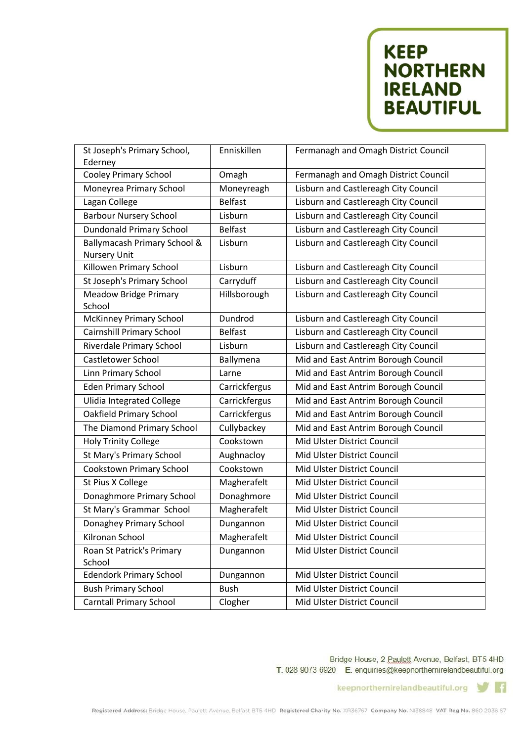## **KEEP NORTHERN IRELAND BEAUTIFUL**

| St Joseph's Primary School,                         | Enniskillen    | Fermanagh and Omagh District Council |
|-----------------------------------------------------|----------------|--------------------------------------|
| Ederney                                             |                |                                      |
| <b>Cooley Primary School</b>                        | Omagh          | Fermanagh and Omagh District Council |
| Moneyrea Primary School                             | Moneyreagh     | Lisburn and Castlereagh City Council |
| Lagan College                                       | <b>Belfast</b> | Lisburn and Castlereagh City Council |
| <b>Barbour Nursery School</b>                       | Lisburn        | Lisburn and Castlereagh City Council |
| <b>Dundonald Primary School</b>                     | <b>Belfast</b> | Lisburn and Castlereagh City Council |
| Ballymacash Primary School &<br><b>Nursery Unit</b> | Lisburn        | Lisburn and Castlereagh City Council |
| Killowen Primary School                             | Lisburn        | Lisburn and Castlereagh City Council |
| St Joseph's Primary School                          | Carryduff      | Lisburn and Castlereagh City Council |
| <b>Meadow Bridge Primary</b><br>School              | Hillsborough   | Lisburn and Castlereagh City Council |
| <b>McKinney Primary School</b>                      | Dundrod        | Lisburn and Castlereagh City Council |
| <b>Cairnshill Primary School</b>                    | <b>Belfast</b> | Lisburn and Castlereagh City Council |
| <b>Riverdale Primary School</b>                     | Lisburn        | Lisburn and Castlereagh City Council |
| Castletower School                                  | Ballymena      | Mid and East Antrim Borough Council  |
| Linn Primary School                                 | Larne          | Mid and East Antrim Borough Council  |
| <b>Eden Primary School</b>                          | Carrickfergus  | Mid and East Antrim Borough Council  |
| <b>Ulidia Integrated College</b>                    | Carrickfergus  | Mid and East Antrim Borough Council  |
| <b>Oakfield Primary School</b>                      | Carrickfergus  | Mid and East Antrim Borough Council  |
| The Diamond Primary School                          | Cullybackey    | Mid and East Antrim Borough Council  |
| <b>Holy Trinity College</b>                         | Cookstown      | Mid Ulster District Council          |
| St Mary's Primary School                            | Aughnacloy     | Mid Ulster District Council          |
| Cookstown Primary School                            | Cookstown      | Mid Ulster District Council          |
| St Pius X College                                   | Magherafelt    | Mid Ulster District Council          |
| Donaghmore Primary School                           | Donaghmore     | Mid Ulster District Council          |
| St Mary's Grammar School                            | Magherafelt    | Mid Ulster District Council          |
| Donaghey Primary School                             | Dungannon      | Mid Ulster District Council          |
| Kilronan School                                     | Magherafelt    | Mid Ulster District Council          |
| Roan St Patrick's Primary<br>School                 | Dungannon      | Mid Ulster District Council          |
| <b>Edendork Primary School</b>                      | Dungannon      | Mid Ulster District Council          |
| <b>Bush Primary School</b>                          | <b>Bush</b>    | Mid Ulster District Council          |
| <b>Carntall Primary School</b>                      | Clogher        | Mid Ulster District Council          |

Bridge House, 2 Paulett Avenue, Belfast, BT5 4HD T. 028 9073 6920 E. enquiries@keepnorthernirelandbeautiful.org

> keepnorthernirelandbeautiful.org  $\mathbf{f}$ w